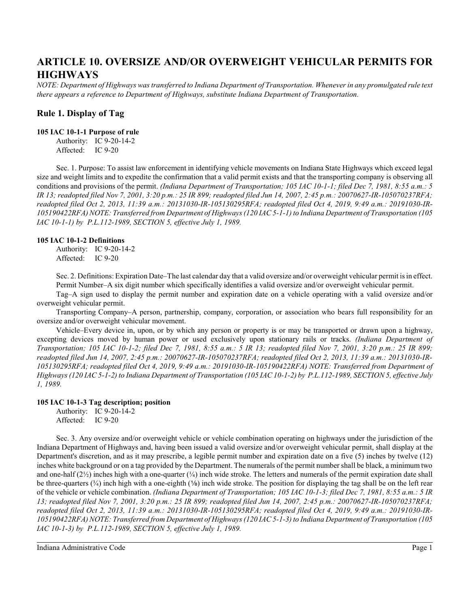# **ARTICLE 10. OVERSIZE AND/OR OVERWEIGHT VEHICULAR PERMITS FOR HIGHWAYS**

*NOTE: Department of Highways was transferred to Indiana Department of Transportation. Whenever in any promulgated rule text there appears a reference to Department of Highways, substitute Indiana Department of Transportation.*

# **Rule 1. Display of Tag**

#### **105 IAC 10-1-1 Purpose of rule**

Authority: IC 9-20-14-2 Affected: IC 9-20

Sec. 1. Purpose: To assist law enforcement in identifying vehicle movements on Indiana State Highways which exceed legal size and weight limits and to expedite the confirmation that a valid permit exists and that the transporting company is observing all conditions and provisions of the permit. *(Indiana Department of Transportation; 105 IAC 10-1-1; filed Dec 7, 1981, 8:55 a.m.: 5 IR 13; readopted filed Nov 7, 2001, 3:20 p.m.: 25 IR 899; readopted filed Jun 14, 2007, 2:45 p.m.: 20070627-IR-105070237RFA; readopted filed Oct 2, 2013, 11:39 a.m.: 20131030-IR-105130295RFA; readopted filed Oct 4, 2019, 9:49 a.m.: 20191030-IR-105190422RFA) NOTE: Transferred from Department of Highways (120 IAC 5-1-1) to Indiana Department of Transportation (105 IAC 10-1-1) by P.L.112-1989, SECTION 5, effective July 1, 1989.*

#### **105 IAC 10-1-2 Definitions**

Authority: IC 9-20-14-2 Affected: IC 9-20

Sec. 2. Definitions: Expiration Date–The last calendar day that a valid oversize and/or overweight vehicular permit is in effect. Permit Number–A six digit number which specifically identifies a valid oversize and/or overweight vehicular permit.

Tag–A sign used to display the permit number and expiration date on a vehicle operating with a valid oversize and/or overweight vehicular permit.

Transporting Company–A person, partnership, company, corporation, or association who bears full responsibility for an oversize and/or overweight vehicular movement.

Vehicle–Every device in, upon, or by which any person or property is or may be transported or drawn upon a highway, excepting devices moved by human power or used exclusively upon stationary rails or tracks. *(Indiana Department of Transportation; 105 IAC 10-1-2; filed Dec 7, 1981, 8:55 a.m.: 5 IR 13; readopted filed Nov 7, 2001, 3:20 p.m.: 25 IR 899; readopted filed Jun 14, 2007, 2:45 p.m.: 20070627-IR-105070237RFA; readopted filed Oct 2, 2013, 11:39 a.m.: 20131030-IR-105130295RFA; readopted filed Oct 4, 2019, 9:49 a.m.: 20191030-IR-105190422RFA) NOTE: Transferred from Department of Highways (120 IAC 5-1-2) to Indiana Department of Transportation (105 IAC 10-1-2) by P.L.112-1989, SECTION 5, effective July 1, 1989.*

#### **105 IAC 10-1-3 Tag description; position**

Authority: IC 9-20-14-2 Affected: IC 9-20

Sec. 3. Any oversize and/or overweight vehicle or vehicle combination operating on highways under the jurisdiction of the Indiana Department of Highways and, having been issued a valid oversize and/or overweight vehicular permit, shall display at the Department's discretion, and as it may prescribe, a legible permit number and expiration date on a five (5) inches by twelve (12) inches white background or on a tag provided by the Department. The numerals of the permit number shall be black, a minimum two and one-half  $(2\frac{1}{2})$  inches high with a one-quarter  $(\frac{1}{4})$  inch wide stroke. The letters and numerals of the permit expiration date shall be three-quarters  $(\frac{3}{4})$  inch high with a one-eighth  $(\frac{1}{8})$  inch wide stroke. The position for displaying the tag shall be on the left rear of the vehicle or vehicle combination. *(Indiana Department of Transportation; 105 IAC 10-1-3; filed Dec 7, 1981, 8:55 a.m.: 5 IR 13; readopted filed Nov 7, 2001, 3:20 p.m.: 25 IR 899; readopted filed Jun 14, 2007, 2:45 p.m.: 20070627-IR-105070237RFA; readopted filed Oct 2, 2013, 11:39 a.m.: 20131030-IR-105130295RFA; readopted filed Oct 4, 2019, 9:49 a.m.: 20191030-IR-105190422RFA) NOTE: Transferred from Department of Highways (120 IAC 5-1-3) to Indiana Department of Transportation (105 IAC 10-1-3) by P.L.112-1989, SECTION 5, effective July 1, 1989.*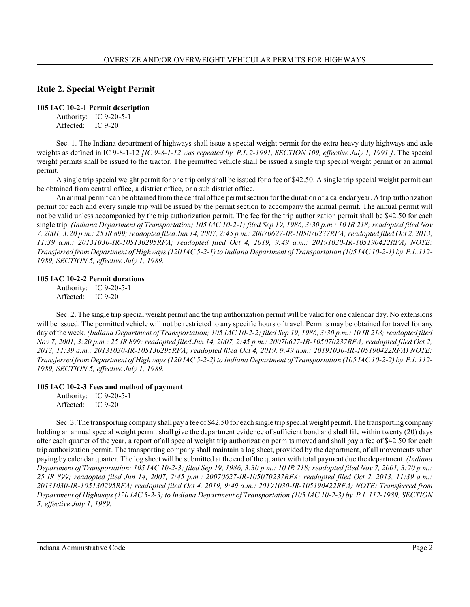# **Rule 2. Special Weight Permit**

### **105 IAC 10-2-1 Permit description**

Authority: IC 9-20-5-1 Affected: IC 9-20

Sec. 1. The Indiana department of highways shall issue a special weight permit for the extra heavy duty highways and axle weights as defined in IC 9-8-1-12 *[IC 9-8-1-12 was repealed by P.L.2-1991, SECTION 109, effective July 1, 1991.]*. The special weight permits shall be issued to the tractor. The permitted vehicle shall be issued a single trip special weight permit or an annual permit.

A single trip special weight permit for one trip only shall be issued for a fee of \$42.50. A single trip special weight permit can be obtained from central office, a district office, or a sub district office.

An annual permit can be obtained from the central office permit section for the duration of a calendar year. A trip authorization permit for each and every single trip will be issued by the permit section to accompany the annual permit. The annual permit will not be valid unless accompanied by the trip authorization permit. The fee for the trip authorization permit shall be \$42.50 for each single trip. *(Indiana Department of Transportation; 105 IAC 10-2-1; filed Sep 19, 1986, 3:30 p.m.: 10 IR 218; readopted filed Nov 7, 2001, 3:20 p.m.: 25 IR 899;readopted filed Jun 14, 2007, 2:45 p.m.: 20070627-IR-105070237RFA; readopted filed Oct 2, 2013, 11:39 a.m.: 20131030-IR-105130295RFA; readopted filed Oct 4, 2019, 9:49 a.m.: 20191030-IR-105190422RFA) NOTE: Transferred from Department of Highways (120 IAC 5-2-1) to Indiana Department of Transportation (105 IAC 10-2-1) by P.L.112- 1989, SECTION 5, effective July 1, 1989.*

### **105 IAC 10-2-2 Permit durations**

Authority: IC 9-20-5-1 Affected: IC 9-20

Sec. 2. The single trip special weight permit and the trip authorization permit will be valid for one calendar day. No extensions will be issued. The permitted vehicle will not be restricted to any specific hours of travel. Permits may be obtained for travel for any day of the week. *(Indiana Department of Transportation; 105 IAC 10-2-2; filed Sep 19, 1986, 3:30 p.m.: 10 IR 218;readopted filed Nov 7, 2001, 3:20 p.m.: 25 IR 899; readopted filed Jun 14, 2007, 2:45 p.m.: 20070627-IR-105070237RFA; readopted filed Oct 2, 2013, 11:39 a.m.: 20131030-IR-105130295RFA; readopted filed Oct 4, 2019, 9:49 a.m.: 20191030-IR-105190422RFA) NOTE: Transferred from Department of Highways (120 IAC 5-2-2) to Indiana Department of Transportation (105 IAC 10-2-2) by P.L.112- 1989, SECTION 5, effective July 1, 1989.*

### **105 IAC 10-2-3 Fees and method of payment**

Authority: IC 9-20-5-1 Affected: IC 9-20

Sec. 3. The transporting company shall pay a fee of \$42.50 for each single trip special weight permit. The transporting company holding an annual special weight permit shall give the department evidence of sufficient bond and shall file within twenty (20) days after each quarter of the year, a report of all special weight trip authorization permits moved and shall pay a fee of \$42.50 for each trip authorization permit. The transporting company shall maintain a log sheet, provided by the department, of all movements when paying by calendar quarter. The log sheet will be submitted at the end of the quarter with total payment due the department. *(Indiana Department of Transportation; 105 IAC 10-2-3; filed Sep 19, 1986, 3:30 p.m.: 10 IR 218; readopted filed Nov 7, 2001, 3:20 p.m.: 25 IR 899; readopted filed Jun 14, 2007, 2:45 p.m.: 20070627-IR-105070237RFA; readopted filed Oct 2, 2013, 11:39 a.m.: 20131030-IR-105130295RFA; readopted filed Oct 4, 2019, 9:49 a.m.: 20191030-IR-105190422RFA) NOTE: Transferred from Department of Highways (120 IAC 5-2-3) to Indiana Department of Transportation (105 IAC 10-2-3) by P.L.112-1989, SECTION 5, effective July 1, 1989.*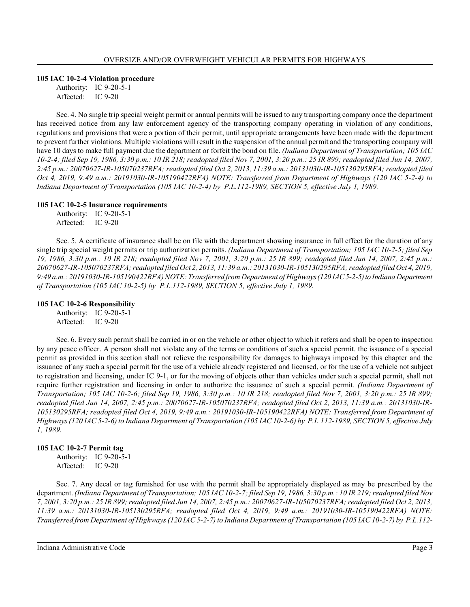#### **105 IAC 10-2-4 Violation procedure**

Authority: IC 9-20-5-1 Affected: IC 9-20

Sec. 4. No single trip special weight permit or annual permits will be issued to any transporting company once the department has received notice from any law enforcement agency of the transporting company operating in violation of any conditions, regulations and provisions that were a portion of their permit, until appropriate arrangements have been made with the department to prevent further violations. Multiple violations will result in the suspension of the annual permit and the transporting company will have 10 days to make full payment due the department or forfeit the bond on file. *(Indiana Department of Transportation; 105 IAC 10-2-4; filed Sep 19, 1986, 3:30 p.m.: 10 IR 218; readopted filed Nov 7, 2001, 3:20 p.m.: 25 IR 899; readopted filed Jun 14, 2007, 2:45 p.m.: 20070627-IR-105070237RFA; readopted filed Oct 2, 2013, 11:39 a.m.: 20131030-IR-105130295RFA; readopted filed Oct 4, 2019, 9:49 a.m.: 20191030-IR-105190422RFA) NOTE: Transferred from Department of Highways (120 IAC 5-2-4) to Indiana Department of Transportation (105 IAC 10-2-4) by P.L.112-1989, SECTION 5, effective July 1, 1989.*

#### **105 IAC 10-2-5 Insurance requirements**

Authority: IC 9-20-5-1 Affected: IC 9-20

Sec. 5. A certificate of insurance shall be on file with the department showing insurance in full effect for the duration of any single trip special weight permits or trip authorization permits. *(Indiana Department of Transportation; 105 IAC 10-2-5; filed Sep 19, 1986, 3:30 p.m.: 10 IR 218; readopted filed Nov 7, 2001, 3:20 p.m.: 25 IR 899; readopted filed Jun 14, 2007, 2:45 p.m.: 20070627-IR-105070237RFA; readopted filed Oct 2, 2013, 11:39 a.m.: 20131030-IR-105130295RFA; readopted filed Oct 4, 2019, 9:49 a.m.: 20191030-IR-105190422RFA) NOTE: Transferred from Department of Highways(120 IAC5-2-5)to Indiana Department of Transportation (105 IAC 10-2-5) by P.L.112-1989, SECTION 5, effective July 1, 1989.*

#### **105 IAC 10-2-6 Responsibility**

Authority: IC 9-20-5-1 Affected: IC 9-20

Sec. 6. Every such permit shall be carried in or on the vehicle or other object to which it refers and shall be open to inspection by any peace officer. A person shall not violate any of the terms or conditions of such a special permit. the issuance of a special permit as provided in this section shall not relieve the responsibility for damages to highways imposed by this chapter and the issuance of any such a special permit for the use of a vehicle already registered and licensed, or for the use of a vehicle not subject to registration and licensing, under IC 9-1, or for the moving of objects other than vehicles under such a special permit, shall not require further registration and licensing in order to authorize the issuance of such a special permit. *(Indiana Department of Transportation; 105 IAC 10-2-6; filed Sep 19, 1986, 3:30 p.m.: 10 IR 218; readopted filed Nov 7, 2001, 3:20 p.m.: 25 IR 899; readopted filed Jun 14, 2007, 2:45 p.m.: 20070627-IR-105070237RFA; readopted filed Oct 2, 2013, 11:39 a.m.: 20131030-IR-105130295RFA; readopted filed Oct 4, 2019, 9:49 a.m.: 20191030-IR-105190422RFA) NOTE: Transferred from Department of Highways (120 IAC 5-2-6) to Indiana Department of Transportation (105 IAC 10-2-6) by P.L.112-1989, SECTION 5, effective July 1, 1989.*

### **105 IAC 10-2-7 Permit tag**

Authority: IC 9-20-5-1 Affected: IC 9-20

Sec. 7. Any decal or tag furnished for use with the permit shall be appropriately displayed as may be prescribed by the department. *(Indiana Department of Transportation; 105 IAC 10-2-7; filed Sep 19, 1986, 3:30 p.m.: 10 IR 219; readopted filed Nov 7, 2001, 3:20 p.m.: 25 IR 899;readopted filed Jun 14, 2007, 2:45 p.m.: 20070627-IR-105070237RFA; readopted filed Oct 2, 2013, 11:39 a.m.: 20131030-IR-105130295RFA; readopted filed Oct 4, 2019, 9:49 a.m.: 20191030-IR-105190422RFA) NOTE: Transferred from Department of Highways (120 IAC 5-2-7) to Indiana Department of Transportation (105 IAC 10-2-7) by P.L.112-*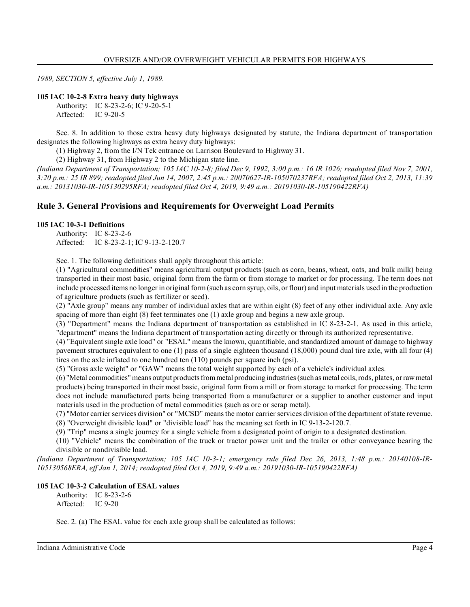*1989, SECTION 5, effective July 1, 1989.*

#### **105 IAC 10-2-8 Extra heavy duty highways**

Authority: IC 8-23-2-6; IC 9-20-5-1 Affected: IC 9-20-5

Sec. 8. In addition to those extra heavy duty highways designated by statute, the Indiana department of transportation designates the following highways as extra heavy duty highways:

(1) Highway 2, from the I/N Tek entrance on Larrison Boulevard to Highway 31.

(2) Highway 31, from Highway 2 to the Michigan state line.

*(Indiana Department of Transportation; 105 IAC 10-2-8; filed Dec 9, 1992, 3:00 p.m.: 16 IR 1026; readopted filed Nov 7, 2001, 3:20 p.m.: 25 IR 899; readopted filed Jun 14, 2007, 2:45 p.m.: 20070627-IR-105070237RFA; readopted filed Oct 2, 2013, 11:39 a.m.: 20131030-IR-105130295RFA; readopted filed Oct 4, 2019, 9:49 a.m.: 20191030-IR-105190422RFA)*

# **Rule 3. General Provisions and Requirements for Overweight Load Permits**

#### **105 IAC 10-3-1 Definitions**

Authority: IC 8-23-2-6 Affected: IC 8-23-2-1; IC 9-13-2-120.7

Sec. 1. The following definitions shall apply throughout this article:

(1) "Agricultural commodities" means agricultural output products (such as corn, beans, wheat, oats, and bulk milk) being transported in their most basic, original form from the farm or from storage to market or for processing. The term does not include processed items no longer in original form(such as corn syrup, oils, or flour) and input materials used in the production of agriculture products (such as fertilizer or seed).

(2) "Axle group" means any number of individual axles that are within eight (8) feet of any other individual axle. Any axle spacing of more than eight (8) feet terminates one (1) axle group and begins a new axle group.

(3) "Department" means the Indiana department of transportation as established in IC 8-23-2-1. As used in this article, "department" means the Indiana department of transportation acting directly or through its authorized representative.

(4) "Equivalent single axle load" or "ESAL" means the known, quantifiable, and standardized amount of damage to highway pavement structures equivalent to one (1) pass of a single eighteen thousand (18,000) pound dual tire axle, with all four (4) tires on the axle inflated to one hundred ten (110) pounds per square inch (psi).

(5) "Gross axle weight" or "GAW" means the total weight supported by each of a vehicle's individual axles.

(6) "Metal commodities" means output products frommetal producing industries (such as metal coils, rods, plates, or rawmetal products) being transported in their most basic, original form from a mill or from storage to market for processing. The term does not include manufactured parts being transported from a manufacturer or a supplier to another customer and input materials used in the production of metal commodities (such as ore or scrap metal).

(7) "Motor carrier services division" or "MCSD" means the motor carrier services division of the department of state revenue. (8) "Overweight divisible load" or "divisible load" has the meaning set forth in IC 9-13-2-120.7.

(9) "Trip" means a single journey for a single vehicle from a designated point of origin to a designated destination.

(10) "Vehicle" means the combination of the truck or tractor power unit and the trailer or other conveyance bearing the divisible or nondivisible load.

*(Indiana Department of Transportation; 105 IAC 10-3-1; emergency rule filed Dec 26, 2013, 1:48 p.m.: 20140108-IR-105130568ERA, eff Jan 1, 2014; readopted filed Oct 4, 2019, 9:49 a.m.: 20191030-IR-105190422RFA)*

### **105 IAC 10-3-2 Calculation of ESAL values**

Authority: IC 8-23-2-6 Affected: IC 9-20

Sec. 2. (a) The ESAL value for each axle group shall be calculated as follows: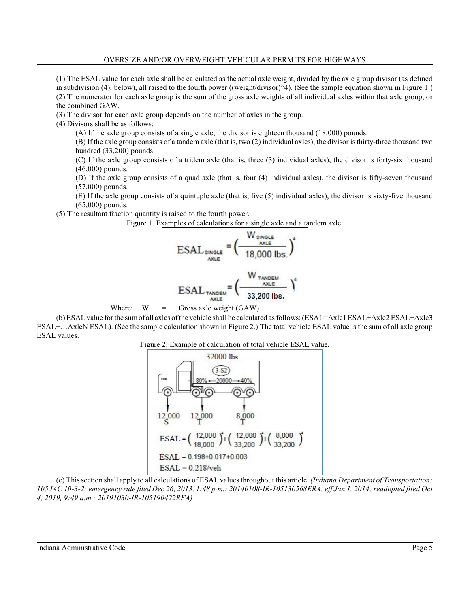### OVERSIZE AND/OR OVERWEIGHT VEHICULAR PERMITS FOR HIGHWAYS

(1) The ESAL value for each axle shall be calculated as the actual axle weight, divided by the axle group divisor (as defined in subdivision (4), below), all raised to the fourth power ((weight/divisor)^4). (See the sample equation shown in Figure 1.) (2) The numerator for each axle group is the sum of the gross axle weights of all individual axles within that axle group, or the combined GAW.

(3) The divisor for each axle group depends on the number of axles in the group.

(4) Divisors shall be as follows:

(A) If the axle group consists of a single axle, the divisor is eighteen thousand (18,000) pounds.

(B) If the axle group consists of a tandem axle (that is, two (2) individual axles), the divisor is thirty-three thousand two hundred (33,200) pounds.

(C) If the axle group consists of a tridem axle (that is, three (3) individual axles), the divisor is forty-six thousand (46,000) pounds.

(D) If the axle group consists of a quad axle (that is, four (4) individual axles), the divisor is fifty-seven thousand (57,000) pounds.

(E) If the axle group consists of a quintuple axle (that is, five (5) individual axles), the divisor is sixty-five thousand (65,000) pounds.

(5) The resultant fraction quantity is raised to the fourth power.

Figure 1. Examples of calculations for a single axle and a tandem axle.





(b) ESAL value for the sum of all axles of the vehicle shall be calculated as follows: (ESAL=Axle1 ESAL+Axle2 ESAL+Axle3 ESAL+…AxleN ESAL). (See the sample calculation shown in Figure 2.) The total vehicle ESAL value is the sum of all axle group ESAL values.

Figure 2. Example of calculation of total vehicle ESAL value.



(c) Thissection shall apply to all calculations of ESAL values throughout this article. *(Indiana Department of Transportation; 105 IAC 10-3-2; emergency rule filed Dec 26, 2013, 1:48 p.m.: 20140108-IR-105130568ERA, eff Jan 1, 2014; readopted filed Oct 4, 2019, 9:49 a.m.: 20191030-IR-105190422RFA)*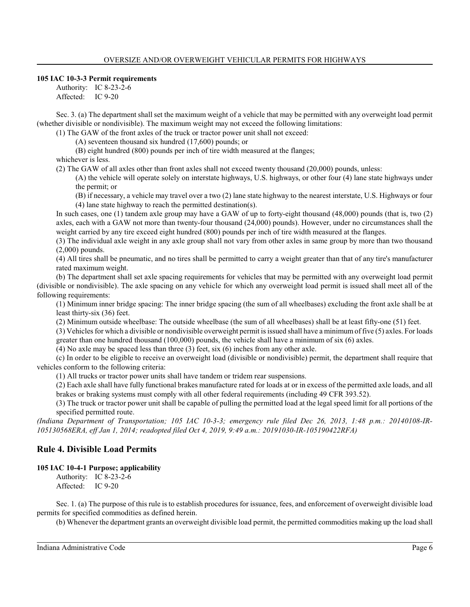#### **105 IAC 10-3-3 Permit requirements**

Authority: IC 8-23-2-6 Affected: IC 9-20

Sec. 3. (a) The department shall set the maximum weight of a vehicle that may be permitted with any overweight load permit (whether divisible or nondivisible). The maximum weight may not exceed the following limitations:

(1) The GAW of the front axles of the truck or tractor power unit shall not exceed:

(A) seventeen thousand six hundred (17,600) pounds; or

(B) eight hundred (800) pounds per inch of tire width measured at the flanges;

whichever is less.

(2) The GAW of all axles other than front axles shall not exceed twenty thousand (20,000) pounds, unless:

(A) the vehicle will operate solely on interstate highways, U.S. highways, or other four (4) lane state highways under the permit; or

(B) if necessary, a vehicle may travel over a two (2) lane state highway to the nearest interstate, U.S. Highways or four (4) lane state highway to reach the permitted destination(s).

In such cases, one (1) tandem axle group may have a GAW of up to forty-eight thousand (48,000) pounds (that is, two (2) axles, each with a GAW not more than twenty-four thousand (24,000) pounds). However, under no circumstances shall the weight carried by any tire exceed eight hundred (800) pounds per inch of tire width measured at the flanges.

(3) The individual axle weight in any axle group shall not vary from other axles in same group by more than two thousand (2,000) pounds.

(4) All tires shall be pneumatic, and no tires shall be permitted to carry a weight greater than that of any tire's manufacturer rated maximum weight.

(b) The department shall set axle spacing requirements for vehicles that may be permitted with any overweight load permit (divisible or nondivisible). The axle spacing on any vehicle for which any overweight load permit is issued shall meet all of the following requirements:

(1) Minimum inner bridge spacing: The inner bridge spacing (the sum of all wheelbases) excluding the front axle shall be at least thirty-six (36) feet.

(2) Minimum outside wheelbase: The outside wheelbase (the sum of all wheelbases) shall be at least fifty-one (51) feet.

(3) Vehicles for which a divisible or nondivisible overweight permit is issued shall have a minimumof five (5) axles. For loads greater than one hundred thousand (100,000) pounds, the vehicle shall have a minimum of six (6) axles.

(4) No axle may be spaced less than three (3) feet, six (6) inches from any other axle.

(c) In order to be eligible to receive an overweight load (divisible or nondivisible) permit, the department shall require that vehicles conform to the following criteria:

(1) All trucks or tractor power units shall have tandem or tridem rear suspensions.

(2) Each axle shall have fully functional brakes manufacture rated for loads at or in excess of the permitted axle loads, and all brakes or braking systems must comply with all other federal requirements (including 49 CFR 393.52).

(3) The truck or tractor power unit shall be capable of pulling the permitted load at the legal speed limit for all portions of the specified permitted route.

*(Indiana Department of Transportation; 105 IAC 10-3-3; emergency rule filed Dec 26, 2013, 1:48 p.m.: 20140108-IR-105130568ERA, eff Jan 1, 2014; readopted filed Oct 4, 2019, 9:49 a.m.: 20191030-IR-105190422RFA)*

# **Rule 4. Divisible Load Permits**

### **105 IAC 10-4-1 Purpose; applicability**

Authority: IC 8-23-2-6 Affected: IC 9-20

Sec. 1. (a) The purpose of this rule is to establish procedures for issuance, fees, and enforcement of overweight divisible load permits for specified commodities as defined herein.

(b) Whenever the department grants an overweight divisible load permit, the permitted commodities making up the load shall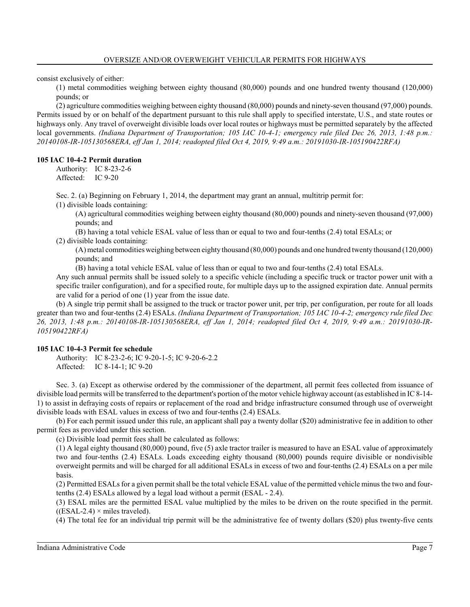consist exclusively of either:

(1) metal commodities weighing between eighty thousand (80,000) pounds and one hundred twenty thousand (120,000) pounds; or

(2) agriculture commodities weighing between eighty thousand (80,000) pounds and ninety-seven thousand (97,000) pounds. Permits issued by or on behalf of the department pursuant to this rule shall apply to specified interstate, U.S., and state routes or highways only. Any travel of overweight divisible loads over local routes or highways must be permitted separately by the affected local governments. *(Indiana Department of Transportation; 105 IAC 10-4-1; emergency rule filed Dec 26, 2013, 1:48 p.m.: 20140108-IR-105130568ERA, eff Jan 1, 2014; readopted filed Oct 4, 2019, 9:49 a.m.: 20191030-IR-105190422RFA)*

## **105 IAC 10-4-2 Permit duration**

Authority: IC 8-23-2-6 Affected: IC 9-20

Sec. 2. (a) Beginning on February 1, 2014, the department may grant an annual, multitrip permit for:

(1) divisible loads containing:

(A) agricultural commodities weighing between eighty thousand (80,000) pounds and ninety-seven thousand (97,000) pounds; and

(B) having a total vehicle ESAL value of less than or equal to two and four-tenths (2.4) total ESALs; or (2) divisible loads containing:

(A) metal commodities weighing between eighty thousand (80,000) pounds and one hundred twenty thousand (120,000) pounds; and

(B) having a total vehicle ESAL value of less than or equal to two and four-tenths (2.4) total ESALs.

Any such annual permits shall be issued solely to a specific vehicle (including a specific truck or tractor power unit with a specific trailer configuration), and for a specified route, for multiple days up to the assigned expiration date. Annual permits are valid for a period of one (1) year from the issue date.

(b) A single trip permit shall be assigned to the truck or tractor power unit, per trip, per configuration, per route for all loads greater than two and four-tenths (2.4) ESALs. *(Indiana Department of Transportation; 105 IAC 10-4-2; emergency rule filed Dec 26, 2013, 1:48 p.m.: 20140108-IR-105130568ERA, eff Jan 1, 2014; readopted filed Oct 4, 2019, 9:49 a.m.: 20191030-IR-105190422RFA)*

### **105 IAC 10-4-3 Permit fee schedule**

Authority: IC 8-23-2-6; IC 9-20-1-5; IC 9-20-6-2.2 Affected: IC 8-14-1; IC 9-20

Sec. 3. (a) Except as otherwise ordered by the commissioner of the department, all permit fees collected from issuance of divisible load permits will be transferred to the department's portion of the motor vehicle highway account (as established in IC 8-14- 1) to assist in defraying costs of repairs or replacement of the road and bridge infrastructure consumed through use of overweight divisible loads with ESAL values in excess of two and four-tenths (2.4) ESALs.

(b) For each permit issued under this rule, an applicant shall pay a twenty dollar (\$20) administrative fee in addition to other permit fees as provided under this section.

(c) Divisible load permit fees shall be calculated as follows:

(1) A legal eighty thousand (80,000) pound, five (5) axle tractor trailer is measured to have an ESAL value of approximately two and four-tenths (2.4) ESALs. Loads exceeding eighty thousand (80,000) pounds require divisible or nondivisible overweight permits and will be charged for all additional ESALs in excess of two and four-tenths (2.4) ESALs on a per mile basis.

(2) Permitted ESALs for a given permit shall be the total vehicle ESAL value of the permitted vehicle minus the two and fourtenths (2.4) ESALs allowed by a legal load without a permit (ESAL - 2.4).

(3) ESAL miles are the permitted ESAL value multiplied by the miles to be driven on the route specified in the permit.  $((ESAL-2.4) \times miles traveled).$ 

(4) The total fee for an individual trip permit will be the administrative fee of twenty dollars (\$20) plus twenty-five cents